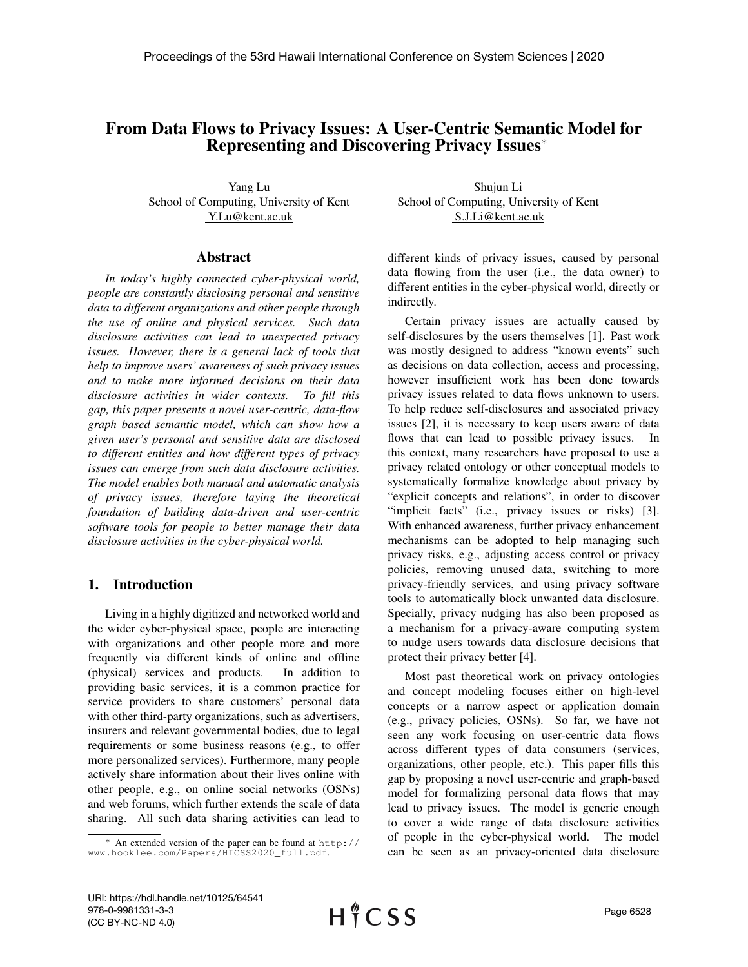# From Data Flows to Privacy Issues: A User-Centric Semantic Model for Representing and Discovering Privacy Issues<sup>∗</sup>

Yang Lu School of Computing, University of Kent Y.Lu@kent.ac.uk

## Abstract

*In today's highly connected cyber-physical world, people are constantly disclosing personal and sensitive data to different organizations and other people through the use of online and physical services. Such data disclosure activities can lead to unexpected privacy issues. However, there is a general lack of tools that help to improve users' awareness of such privacy issues and to make more informed decisions on their data disclosure activities in wider contexts. To fill this gap, this paper presents a novel user-centric, data-flow graph based semantic model, which can show how a given user's personal and sensitive data are disclosed to different entities and how different types of privacy issues can emerge from such data disclosure activities. The model enables both manual and automatic analysis of privacy issues, therefore laying the theoretical foundation of building data-driven and user-centric software tools for people to better manage their data disclosure activities in the cyber-physical world.*

# 1. Introduction

Living in a highly digitized and networked world and the wider cyber-physical space, people are interacting with organizations and other people more and more frequently via different kinds of online and offline (physical) services and products. In addition to providing basic services, it is a common practice for service providers to share customers' personal data with other third-party organizations, such as advertisers, insurers and relevant governmental bodies, due to legal requirements or some business reasons (e.g., to offer more personalized services). Furthermore, many people actively share information about their lives online with other people, e.g., on online social networks (OSNs) and web forums, which further extends the scale of data sharing. All such data sharing activities can lead to

Shujun Li School of Computing, University of Kent S.J.Li@kent.ac.uk

different kinds of privacy issues, caused by personal data flowing from the user (i.e., the data owner) to different entities in the cyber-physical world, directly or indirectly.

Certain privacy issues are actually caused by self-disclosures by the users themselves [\[1\]](#page-9-0). Past work was mostly designed to address "known events" such as decisions on data collection, access and processing, however insufficient work has been done towards privacy issues related to data flows unknown to users. To help reduce self-disclosures and associated privacy issues [\[2\]](#page-9-1), it is necessary to keep users aware of data flows that can lead to possible privacy issues. In this context, many researchers have proposed to use a privacy related ontology or other conceptual models to systematically formalize knowledge about privacy by "explicit concepts and relations", in order to discover "implicit facts" (i.e., privacy issues or risks) [\[3\]](#page-9-2). With enhanced awareness, further privacy enhancement mechanisms can be adopted to help managing such privacy risks, e.g., adjusting access control or privacy policies, removing unused data, switching to more privacy-friendly services, and using privacy software tools to automatically block unwanted data disclosure. Specially, privacy nudging has also been proposed as a mechanism for a privacy-aware computing system to nudge users towards data disclosure decisions that protect their privacy better [\[4\]](#page-9-3).

Most past theoretical work on privacy ontologies and concept modeling focuses either on high-level concepts or a narrow aspect or application domain (e.g., privacy policies, OSNs). So far, we have not seen any work focusing on user-centric data flows across different types of data consumers (services, organizations, other people, etc.). This paper fills this gap by proposing a novel user-centric and graph-based model for formalizing personal data flows that may lead to privacy issues. The model is generic enough to cover a wide range of data disclosure activities of people in the cyber-physical world. The model can be seen as an privacy-oriented data disclosure

<sup>∗</sup> An extended version of the paper can be found at [http://](http://www.hooklee.com/Papers/HICSS2020_full.pdf) [www.hooklee.com/Papers/HICSS2020\\_full.pdf](http://www.hooklee.com/Papers/HICSS2020_full.pdf).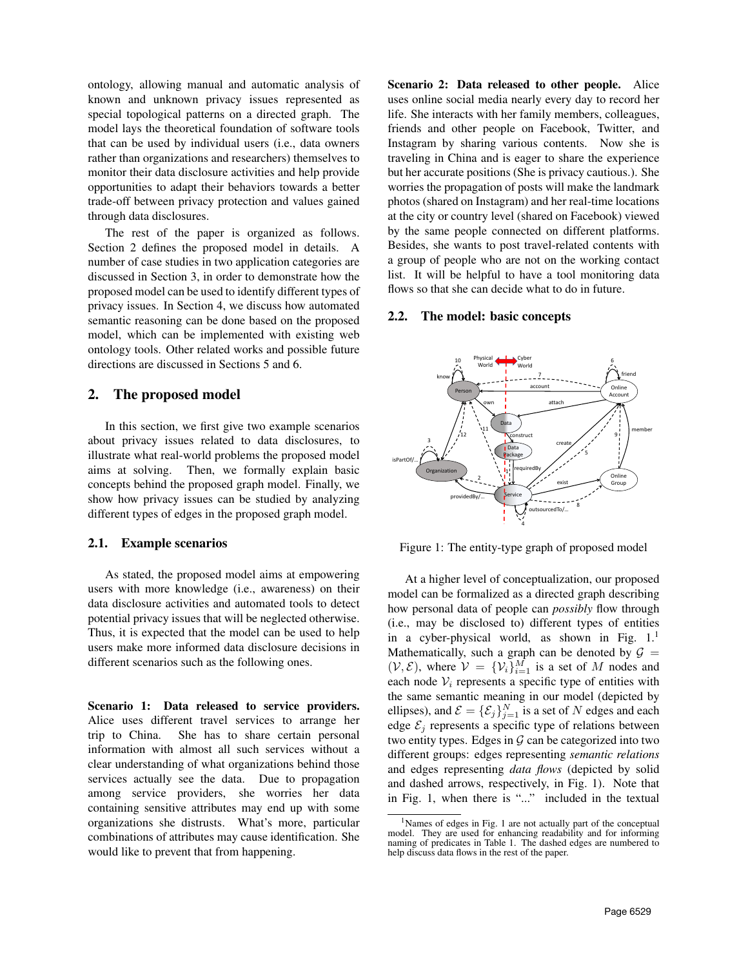ontology, allowing manual and automatic analysis of known and unknown privacy issues represented as special topological patterns on a directed graph. The model lays the theoretical foundation of software tools that can be used by individual users (i.e., data owners rather than organizations and researchers) themselves to monitor their data disclosure activities and help provide opportunities to adapt their behaviors towards a better trade-off between privacy protection and values gained through data disclosures.

The rest of the paper is organized as follows. Section [2](#page-1-0) defines the proposed model in details. A number of case studies in two application categories are discussed in Section [3,](#page-3-0) in order to demonstrate how the proposed model can be used to identify different types of privacy issues. In Section [4,](#page-5-0) we discuss how automated semantic reasoning can be done based on the proposed model, which can be implemented with existing web ontology tools. Other related works and possible future directions are discussed in Sections [5](#page-7-0) and [6.](#page-8-0)

## <span id="page-1-0"></span>2. The proposed model

In this section, we first give two example scenarios about privacy issues related to data disclosures, to illustrate what real-world problems the proposed model aims at solving. Then, we formally explain basic concepts behind the proposed graph model. Finally, we show how privacy issues can be studied by analyzing different types of edges in the proposed graph model.

## 2.1. Example scenarios

As stated, the proposed model aims at empowering users with more knowledge (i.e., awareness) on their data disclosure activities and automated tools to detect potential privacy issues that will be neglected otherwise. Thus, it is expected that the model can be used to help users make more informed data disclosure decisions in different scenarios such as the following ones.

Scenario 1: Data released to service providers. Alice uses different travel services to arrange her trip to China. She has to share certain personal information with almost all such services without a clear understanding of what organizations behind those services actually see the data. Due to propagation among service providers, she worries her data containing sensitive attributes may end up with some organizations she distrusts. What's more, particular combinations of attributes may cause identification. She would like to prevent that from happening.

Scenario 2: Data released to other people. Alice uses online social media nearly every day to record her life. She interacts with her family members, colleagues, friends and other people on Facebook, Twitter, and Instagram by sharing various contents. Now she is traveling in China and is eager to share the experience but her accurate positions (She is privacy cautious.). She worries the propagation of posts will make the landmark photos (shared on Instagram) and her real-time locations at the city or country level (shared on Facebook) viewed by the same people connected on different platforms. Besides, she wants to post travel-related contents with a group of people who are not on the working contact list. It will be helpful to have a tool monitoring data flows so that she can decide what to do in future.

#### 2.2. The model: basic concepts

<span id="page-1-1"></span>

Figure 1: The entity-type graph of proposed model

At a higher level of conceptualization, our proposed model can be formalized as a directed graph describing how personal data of people can *possibly* flow through (i.e., may be disclosed to) different types of entities in a cyber-physical world, as shown in Fig.  $1<sup>1</sup>$  $1<sup>1</sup>$ Mathematically, such a graph can be denoted by  $G =$  $(\mathcal{V}, \mathcal{E})$ , where  $\mathcal{V} = {\mathcal{V}_i}_{i=1}^M$  is a set of M nodes and each node  $V_i$  represents a specific type of entities with the same semantic meaning in our model (depicted by ellipses), and  $\mathcal{E} = {\{\mathcal{E}_j\}}_{j=1}^N$  is a set of N edges and each edge  $\mathcal{E}_i$  represents a specific type of relations between two entity types. Edges in  $G$  can be categorized into two different groups: edges representing *semantic relations* and edges representing *data flows* (depicted by solid and dashed arrows, respectively, in Fig. [1\)](#page-1-1). Note that in Fig. [1,](#page-1-1) when there is "..." included in the textual

<span id="page-1-2"></span><sup>1</sup>Names of edges in Fig. [1](#page-1-1) are not actually part of the conceptual model. They are used for enhancing readability and for informing naming of predicates in Table [1.](#page-6-0) The dashed edges are numbered to help discuss data flows in the rest of the paper.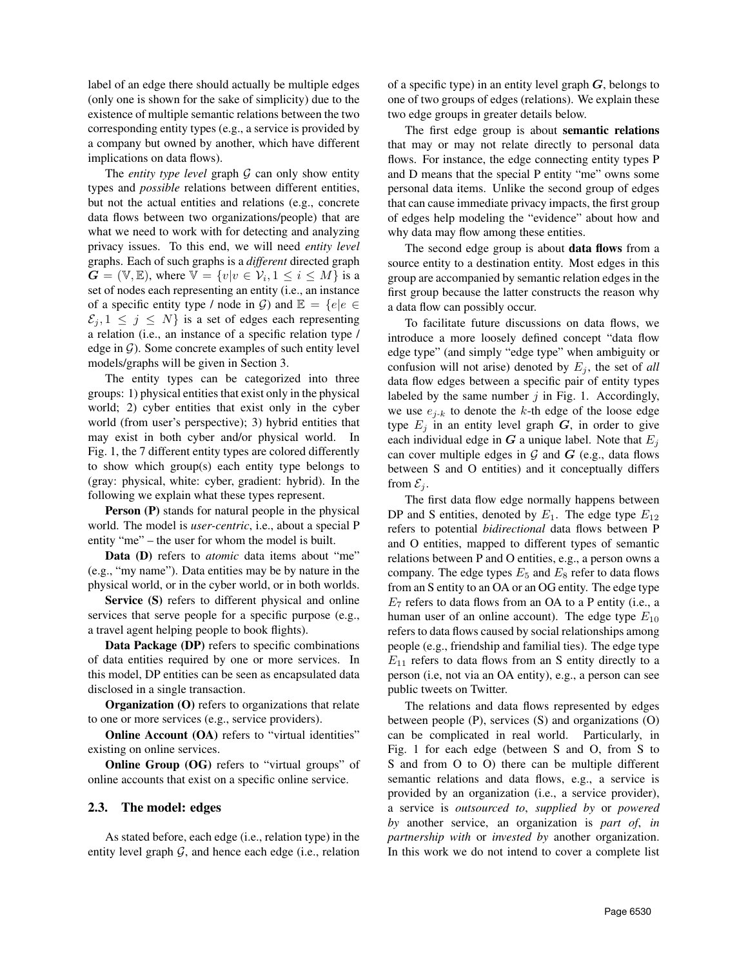label of an edge there should actually be multiple edges (only one is shown for the sake of simplicity) due to the existence of multiple semantic relations between the two corresponding entity types (e.g., a service is provided by a company but owned by another, which have different implications on data flows).

The *entity type level* graph  $G$  can only show entity types and *possible* relations between different entities, but not the actual entities and relations (e.g., concrete data flows between two organizations/people) that are what we need to work with for detecting and analyzing privacy issues. To this end, we will need *entity level* graphs. Each of such graphs is a *different* directed graph  $\mathbf{G} = (\mathbb{V}, \mathbb{E})$ , where  $\mathbb{V} = \{v | v \in \mathcal{V}_i, 1 \le i \le M\}$  is a set of nodes each representing an entity (i.e., an instance of a specific entity type / node in G) and  $\mathbb{E} = \{e | e \in$  $\mathcal{E}_i, 1 \leq j \leq N$  is a set of edges each representing a relation (i.e., an instance of a specific relation type / edge in  $G$ ). Some concrete examples of such entity level models/graphs will be given in Section [3.](#page-3-0)

The entity types can be categorized into three groups: 1) physical entities that exist only in the physical world; 2) cyber entities that exist only in the cyber world (from user's perspective); 3) hybrid entities that may exist in both cyber and/or physical world. In Fig. [1,](#page-1-1) the 7 different entity types are colored differently to show which group(s) each entity type belongs to (gray: physical, white: cyber, gradient: hybrid). In the following we explain what these types represent.

Person (P) stands for natural people in the physical world. The model is *user-centric*, i.e., about a special P entity "me" – the user for whom the model is built.

Data (D) refers to *atomic* data items about "me" (e.g., "my name"). Data entities may be by nature in the physical world, or in the cyber world, or in both worlds.

Service (S) refers to different physical and online services that serve people for a specific purpose (e.g., a travel agent helping people to book flights).

Data Package (DP) refers to specific combinations of data entities required by one or more services. In this model, DP entities can be seen as encapsulated data disclosed in a single transaction.

Organization (O) refers to organizations that relate to one or more services (e.g., service providers).

Online Account (OA) refers to "virtual identities" existing on online services.

Online Group (OG) refers to "virtual groups" of online accounts that exist on a specific online service.

### 2.3. The model: edges

As stated before, each edge (i.e., relation type) in the entity level graph  $G$ , and hence each edge (i.e., relation of a specific type) in an entity level graph  $G$ , belongs to one of two groups of edges (relations). We explain these two edge groups in greater details below.

The first edge group is about semantic relations that may or may not relate directly to personal data flows. For instance, the edge connecting entity types P and D means that the special P entity "me" owns some personal data items. Unlike the second group of edges that can cause immediate privacy impacts, the first group of edges help modeling the "evidence" about how and why data may flow among these entities.

The second edge group is about **data flows** from a source entity to a destination entity. Most edges in this group are accompanied by semantic relation edges in the first group because the latter constructs the reason why a data flow can possibly occur.

To facilitate future discussions on data flows, we introduce a more loosely defined concept "data flow edge type" (and simply "edge type" when ambiguity or confusion will not arise) denoted by  $E_j$ , the set of *all* data flow edges between a specific pair of entity types labeled by the same number  $j$  in Fig. [1.](#page-1-1) Accordingly, we use  $e_{i-k}$  to denote the k-th edge of the loose edge type  $E_j$  in an entity level graph  $G$ , in order to give each individual edge in G a unique label. Note that  $E_i$ can cover multiple edges in  $G$  and  $G$  (e.g., data flows between S and O entities) and it conceptually differs from  $\mathcal{E}_i$ .

The first data flow edge normally happens between DP and S entities, denoted by  $E_1$ . The edge type  $E_{12}$ refers to potential *bidirectional* data flows between P and O entities, mapped to different types of semantic relations between P and O entities, e.g., a person owns a company. The edge types  $E_5$  and  $E_8$  refer to data flows from an S entity to an OA or an OG entity. The edge type  $E_7$  refers to data flows from an OA to a P entity (i.e., a human user of an online account). The edge type  $E_{10}$ refers to data flows caused by social relationships among people (e.g., friendship and familial ties). The edge type  $E_{11}$  refers to data flows from an S entity directly to a person (i.e, not via an OA entity), e.g., a person can see public tweets on Twitter.

The relations and data flows represented by edges between people (P), services (S) and organizations (O) can be complicated in real world. Particularly, in Fig. [1](#page-1-1) for each edge (between S and O, from S to S and from O to O) there can be multiple different semantic relations and data flows, e.g., a service is provided by an organization (i.e., a service provider), a service is *outsourced to*, *supplied by* or *powered by* another service, an organization is *part of*, *in partnership with* or *invested by* another organization. In this work we do not intend to cover a complete list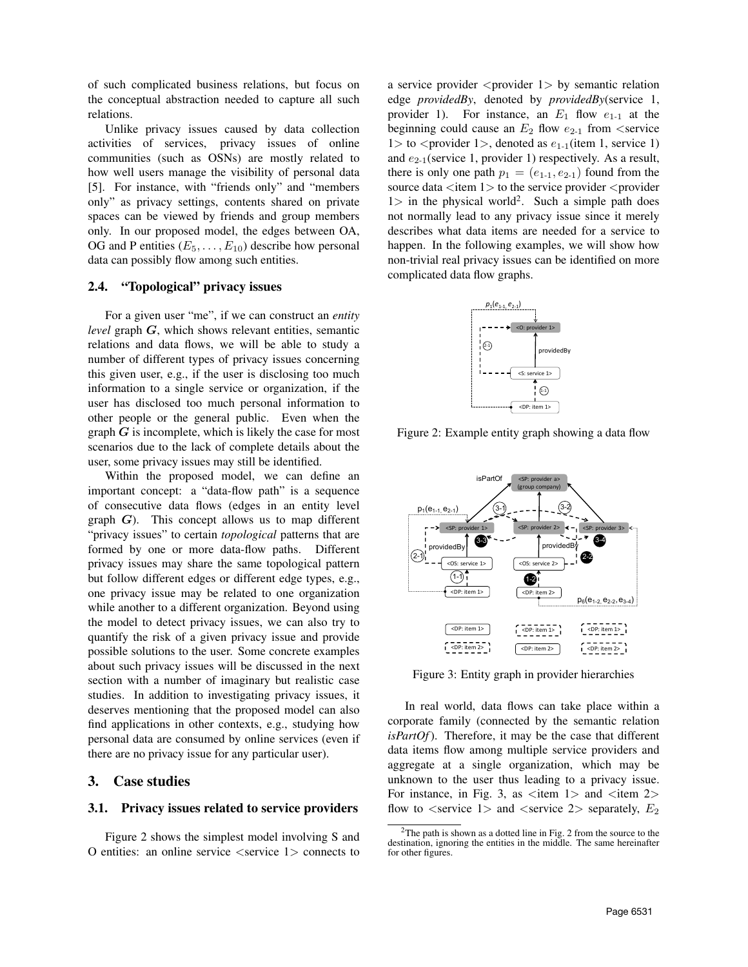of such complicated business relations, but focus on the conceptual abstraction needed to capture all such relations.

Unlike privacy issues caused by data collection activities of services, privacy issues of online communities (such as OSNs) are mostly related to how well users manage the visibility of personal data [\[5\]](#page-9-4). For instance, with "friends only" and "members only" as privacy settings, contents shared on private spaces can be viewed by friends and group members only. In our proposed model, the edges between OA, OG and P entities  $(E_5, \ldots, E_{10})$  describe how personal data can possibly flow among such entities.

### 2.4. "Topological" privacy issues

For a given user "me", if we can construct an *entity level* graph G, which shows relevant entities, semantic relations and data flows, we will be able to study a number of different types of privacy issues concerning this given user, e.g., if the user is disclosing too much information to a single service or organization, if the user has disclosed too much personal information to other people or the general public. Even when the graph  $G$  is incomplete, which is likely the case for most scenarios due to the lack of complete details about the user, some privacy issues may still be identified.

Within the proposed model, we can define an important concept: a "data-flow path" is a sequence of consecutive data flows (edges in an entity level graph  $G$ ). This concept allows us to map different "privacy issues" to certain *topological* patterns that are formed by one or more data-flow paths. Different privacy issues may share the same topological pattern but follow different edges or different edge types, e.g., one privacy issue may be related to one organization while another to a different organization. Beyond using the model to detect privacy issues, we can also try to quantify the risk of a given privacy issue and provide possible solutions to the user. Some concrete examples about such privacy issues will be discussed in the next section with a number of imaginary but realistic case studies. In addition to investigating privacy issues, it deserves mentioning that the proposed model can also find applications in other contexts, e.g., studying how personal data are consumed by online services (even if there are no privacy issue for any particular user).

## <span id="page-3-0"></span>3. Case studies

### 3.1. Privacy issues related to service providers

Figure [2](#page-3-1) shows the simplest model involving S and O entities: an online service  $\langle$  service 1 $\rangle$  connects to a service provider  $\langle$  provider 1 $\rangle$  by semantic relation edge *providedBy*, denoted by *providedBy*(service 1, provider 1). For instance, an  $E_1$  flow  $e_{1-1}$  at the beginning could cause an  $E_2$  flow  $e_{2-1}$  from  $\le$ service  $1>$  to  $\le$  provider  $1>$ , denoted as  $e_{1-1}$ (item 1, service 1) and  $e_{2-1}$ (service 1, provider 1) respectively. As a result, there is only one path  $p_1 = (e_{1-1}, e_{2-1})$  found from the source data  $\lt$ item 1 $>$  to the service provider  $\lt$  provider  $1>$  in the physical world<sup>[2](#page-3-2)</sup>. Such a simple path does not normally lead to any privacy issue since it merely describes what data items are needed for a service to happen. In the following examples, we will show how non-trivial real privacy issues can be identified on more complicated data flow graphs.

<span id="page-3-1"></span>

Figure 2: Example entity graph showing a data flow

<span id="page-3-3"></span>

Figure 3: Entity graph in provider hierarchies

In real world, data flows can take place within a corporate family (connected by the semantic relation *isPartOf*). Therefore, it may be the case that different data items flow among multiple service providers and aggregate at a single organization, which may be unknown to the user thus leading to a privacy issue. For instance, in Fig. [3,](#page-3-3) as  $\lt$ item 1  $>$  and  $\lt$ item 2  $>$ flow to  $\le$ service 1> and  $\le$ service 2> separately,  $E_2$ 

<span id="page-3-2"></span> $2$ The path is shown as a dotted line in Fig. [2](#page-3-1) from the source to the destination, ignoring the entities in the middle. The same hereinafter for other figures.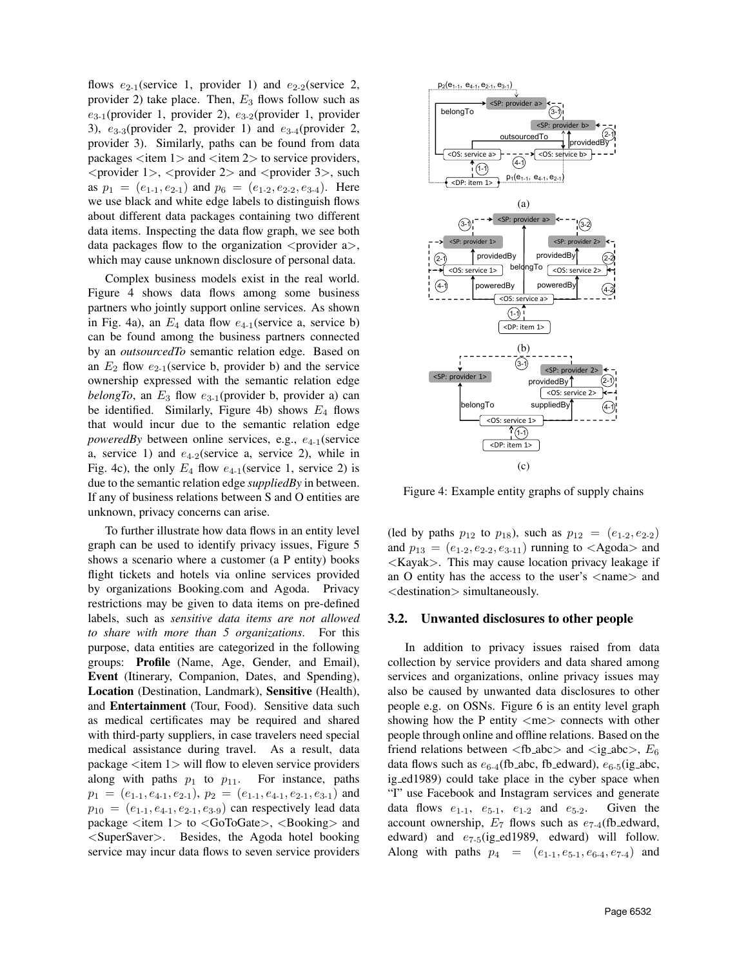flows  $e_{2-1}$ (service 1, provider 1) and  $e_{2-2}$ (service 2, provider 2) take place. Then,  $E_3$  flows follow such as  $e_{3-1}$ (provider 1, provider 2),  $e_{3-2}$ (provider 1, provider 3),  $e_{3-3}$ (provider 2, provider 1) and  $e_{3-4}$ (provider 2, provider 3). Similarly, paths can be found from data packages  $\langle$ item 1 $>$  and  $\langle$ item 2 $>$  to service providers,  $\epsilon$  <provider 1>,  $\epsilon$  <provider 2> and  $\epsilon$  and  $\epsilon$  and  $\epsilon$  3>, such as  $p_1 = (e_{1-1}, e_{2-1})$  and  $p_6 = (e_{1-2}, e_{2-2}, e_{3-4})$ . Here we use black and white edge labels to distinguish flows about different data packages containing two different data items. Inspecting the data flow graph, we see both data packages flow to the organization  $\langle$  provider a $\rangle$ , which may cause unknown disclosure of personal data.

Complex business models exist in the real world. Figure [4](#page-4-0) shows data flows among some business partners who jointly support online services. As shown in Fig. [4a](#page-4-0)), an  $E_4$  data flow  $e_{4-1}$ (service a, service b) can be found among the business partners connected by an *outsourcedTo* semantic relation edge. Based on an  $E_2$  flow  $e_{2-1}$ (service b, provider b) and the service ownership expressed with the semantic relation edge *belongTo*, an  $E_3$  flow  $e_{3-1}$ (provider b, provider a) can be identified. Similarly, Figure [4b](#page-4-0)) shows  $E_4$  flows that would incur due to the semantic relation edge *poweredBy* between online services, e.g.,  $e_{4-1}$ (service a, service 1) and  $e_{4-2}$ (service a, service 2), while in Fig. [4c](#page-4-0)), the only  $E_4$  flow  $e_{4-1}$ (service 1, service 2) is due to the semantic relation edge *suppliedBy* in between. If any of business relations between S and O entities are unknown, privacy concerns can arise.

To further illustrate how data flows in an entity level graph can be used to identify privacy issues, Figure [5](#page-5-1) shows a scenario where a customer (a P entity) books flight tickets and hotels via online services provided by organizations Booking.com and Agoda. Privacy restrictions may be given to data items on pre-defined labels, such as *sensitive data items are not allowed to share with more than 5 organizations*. For this purpose, data entities are categorized in the following groups: Profile (Name, Age, Gender, and Email), Event (Itinerary, Companion, Dates, and Spending), Location (Destination, Landmark), Sensitive (Health), and Entertainment (Tour, Food). Sensitive data such as medical certificates may be required and shared with third-party suppliers, in case travelers need special medical assistance during travel. As a result, data package  $\langle$  item 1 $\rangle$  will flow to eleven service providers along with paths  $p_1$  to  $p_{11}$ . For instance, paths  $p_1 = (e_{1\cdot 1}, e_{4\cdot 1}, e_{2\cdot 1}), p_2 = (e_{1\cdot 1}, e_{4\cdot 1}, e_{2\cdot 1}, e_{3\cdot 1})$  and  $p_{10} = (e_{1-1}, e_{4-1}, e_{2-1}, e_{3-9})$  can respectively lead data package <item 1> to <GoToGate>, <Booking> and <SuperSaver>. Besides, the Agoda hotel booking service may incur data flows to seven service providers

<span id="page-4-0"></span>

Figure 4: Example entity graphs of supply chains

(led by paths  $p_{12}$  to  $p_{18}$ ), such as  $p_{12} = (e_{1-2}, e_{2-2})$ and  $p_{13} = (e_{1\cdot 2}, e_{2\cdot 2}, e_{3\cdot 11})$  running to  $\langle$ Agoda $\rangle$  and <Kayak>. This may cause location privacy leakage if an O entity has the access to the user's  $\langle$ name $\rangle$  and <destination> simultaneously.

## 3.2. Unwanted disclosures to other people

In addition to privacy issues raised from data collection by service providers and data shared among services and organizations, online privacy issues may also be caused by unwanted data disclosures to other people e.g. on OSNs. Figure [6](#page-6-1) is an entity level graph showing how the P entity  $\langle me \rangle$  connects with other people through online and offline relations. Based on the friend relations between  $\langle$ fb\_abc $\rangle$  and  $\langle$ ig\_abc $\rangle$ ,  $E_6$ data flows such as  $e_{6-4}$ (fb\_abc, fb\_edward),  $e_{6-5}$ (ig\_abc, ig ed1989) could take place in the cyber space when "I" use Facebook and Instagram services and generate data flows  $e_{1-1}$ ,  $e_{5-1}$ ,  $e_{1-2}$  and  $e_{5-2}$ . Given the account ownership,  $E_7$  flows such as  $e_{7.4}$ (fb\_edward, edward) and  $e_{7-5}$ (ig\_ed1989, edward) will follow. Along with paths  $p_4 = (e_{1-1}, e_{5-1}, e_{6-4}, e_{7-4})$  and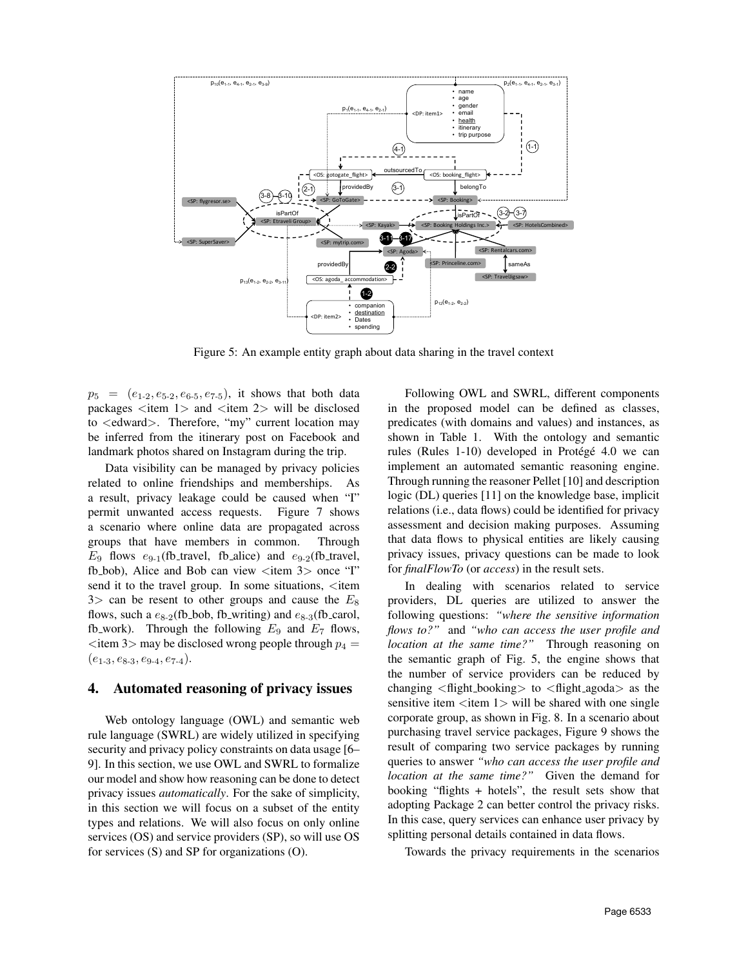<span id="page-5-1"></span>

Figure 5: An example entity graph about data sharing in the travel context

 $p_5 = (e_{1\cdot 2}, e_{5\cdot 2}, e_{6\cdot 5}, e_{7\cdot 5})$ , it shows that both data packages  $\langle$ item 1 $>$  and  $\langle$ item 2 $>$  will be disclosed to <edward>. Therefore, "my" current location may be inferred from the itinerary post on Facebook and landmark photos shared on Instagram during the trip.

Data visibility can be managed by privacy policies related to online friendships and memberships. As a result, privacy leakage could be caused when "I" permit unwanted access requests. Figure [7](#page-7-1) shows a scenario where online data are propagated across groups that have members in common. Through  $E_9$  flows  $e_{9-1}$ (fb\_travel, fb\_alice) and  $e_{9-2}$ (fb\_travel, fb\_bob), Alice and Bob can view <item 3> once "I" send it to the travel group. In some situations,  $\lt$ item  $3$  can be resent to other groups and cause the  $E_8$ flows, such a  $e_{8-2}$ (fb bob, fb writing) and  $e_{8-3}$ (fb carol, fb work). Through the following  $E_9$  and  $E_7$  flows,  $\epsilon$  item 3> may be disclosed wrong people through  $p_4$  =  $(e_{1\text{-}3}, e_{8\text{-}3}, e_{9\text{-}4}, e_{7\text{-}4}).$ 

## <span id="page-5-0"></span>4. Automated reasoning of privacy issues

Web ontology language (OWL) and semantic web rule language (SWRL) are widely utilized in specifying security and privacy policy constraints on data usage [\[6–](#page-9-5) [9\]](#page-9-6). In this section, we use OWL and SWRL to formalize our model and show how reasoning can be done to detect privacy issues *automatically*. For the sake of simplicity, in this section we will focus on a subset of the entity types and relations. We will also focus on only online services (OS) and service providers (SP), so will use OS for services (S) and SP for organizations (O).

Following OWL and SWRL, different components in the proposed model can be defined as classes, predicates (with domains and values) and instances, as shown in Table [1.](#page-6-0) With the ontology and semantic rules (Rules 1-10) developed in Protégé 4.0 we can implement an automated semantic reasoning engine. Through running the reasoner Pellet [\[10\]](#page-9-7) and description logic (DL) queries [\[11\]](#page-9-8) on the knowledge base, implicit relations (i.e., data flows) could be identified for privacy assessment and decision making purposes. Assuming that data flows to physical entities are likely causing privacy issues, privacy questions can be made to look for *finalFlowTo* (or *access*) in the result sets.

In dealing with scenarios related to service providers, DL queries are utilized to answer the following questions: *"where the sensitive information flows to?"* and *"who can access the user profile and location at the same time?"* Through reasoning on the semantic graph of Fig. [5,](#page-5-1) the engine shows that the number of service providers can be reduced by changing  $\langle$  flight booking $>$  to  $\langle$  flight agoda $>$  as the sensitive item  $\langle$  item 1 $\rangle$  will be shared with one single corporate group, as shown in Fig. [8.](#page-7-2) In a scenario about purchasing travel service packages, Figure [9](#page-7-3) shows the result of comparing two service packages by running queries to answer *"who can access the user profile and location at the same time?"* Given the demand for booking "flights + hotels", the result sets show that adopting Package 2 can better control the privacy risks. In this case, query services can enhance user privacy by splitting personal details contained in data flows.

Towards the privacy requirements in the scenarios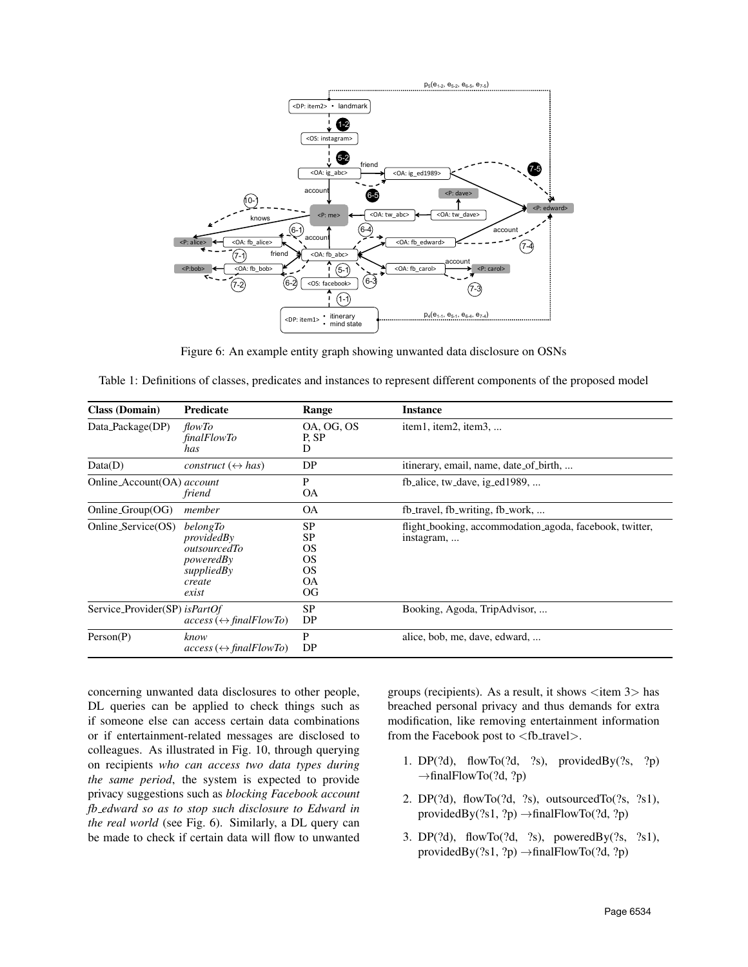<span id="page-6-1"></span>

Figure 6: An example entity graph showing unwanted data disclosure on OSNs

<span id="page-6-0"></span>

| Table 1: Definitions of classes, predicates and instances to represent different components of the proposed model |  |  |
|-------------------------------------------------------------------------------------------------------------------|--|--|
|                                                                                                                   |  |  |

| <b>Class (Domain)</b>         | <b>Predicate</b>                                                                     | Range                                                       | <b>Instance</b>                                                       |  |
|-------------------------------|--------------------------------------------------------------------------------------|-------------------------------------------------------------|-----------------------------------------------------------------------|--|
| Data_Package(DP)              | <i>flowTo</i><br><i>finalFlowTo</i><br>has                                           | OA, OG, OS<br>P, SP<br>D                                    | item1, item2, item3,                                                  |  |
| Data(D)                       | construct $(\leftrightarrow$ has)                                                    | DP                                                          | itinerary, email, name, date_of_birth,                                |  |
| Online_Account(OA) account    | friend                                                                               | P<br><b>OA</b>                                              | fb_alice, tw_dave, ig_ed1989,                                         |  |
| $Online_Group(\overline{OG})$ | member                                                                               | <b>OA</b>                                                   | fb_travel, fb_writing, fb_work,                                       |  |
| Online_Service(OS)            | belongTo<br>providedBy<br>outsourcedTo<br>poweredBy<br>suppliedBy<br>create<br>exist | SP<br>SP<br><b>OS</b><br><b>OS</b><br><b>OS</b><br>OА<br>OG | flight_booking, accommodation_agoda, facebook, twitter,<br>instagram, |  |
| Service_Provider(SP) isPartOf | $access \leftrightarrow finalFlowTo$                                                 | SP<br>DP                                                    | Booking, Agoda, TripAdvisor,                                          |  |
| Person(P)                     | know<br>$access \leftrightarrow finalFlowTo$                                         | P<br>DP                                                     | alice, bob, me, dave, edward,                                         |  |

concerning unwanted data disclosures to other people, DL queries can be applied to check things such as if someone else can access certain data combinations or if entertainment-related messages are disclosed to colleagues. As illustrated in Fig. [10,](#page-7-4) through querying on recipients *who can access two data types during the same period*, the system is expected to provide privacy suggestions such as *blocking Facebook account fb edward so as to stop such disclosure to Edward in the real world* (see Fig. [6\)](#page-6-1). Similarly, a DL query can be made to check if certain data will flow to unwanted groups (recipients). As a result, it shows  $\lt$ item 3 $>$  has breached personal privacy and thus demands for extra modification, like removing entertainment information from the Facebook post to  $<$  fb\_travel $>$ .

- 1. DP $(2d)$ , flowTo $(2d, 2s)$ , providedBy $(2s, 2p)$  $\rightarrow$ finalFlowTo(?d, ?p)
- 2. DP(?d), flowTo(?d, ?s), outsourcedTo(?s, ?s1), providedBy $(?s1, ?p) \rightarrow finalFlowTo(?d, ?p)$
- 3. DP(?d), flowTo(?d, ?s), poweredBy(?s, ?s1), providedBy(?s1, ?p) →finalFlowTo(?d, ?p)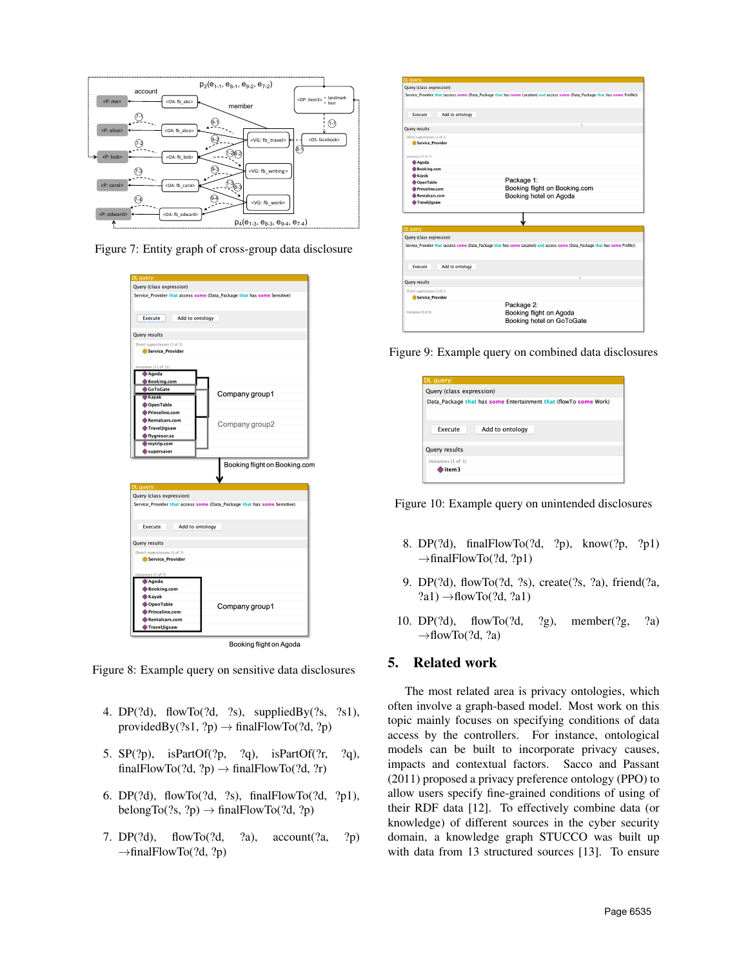<span id="page-7-1"></span>

<span id="page-7-2"></span>Figure 7: Entity graph of cross-group data disclosure

| Query (class expression)                                                 |                                                                          |
|--------------------------------------------------------------------------|--------------------------------------------------------------------------|
| Service_Provider that access some (Data_Package that has some Sensitive) |                                                                          |
|                                                                          |                                                                          |
|                                                                          |                                                                          |
| Execute<br>Add to ontology                                               |                                                                          |
|                                                                          |                                                                          |
| Query results                                                            |                                                                          |
| Direct superclasses (1 of 1)                                             |                                                                          |
| Service Provider                                                         |                                                                          |
|                                                                          |                                                                          |
| Instances (11 of 11)<br>Agoda                                            |                                                                          |
| <b>Booking.com</b>                                                       |                                                                          |
| <b>GoToGate</b>                                                          |                                                                          |
| Kayak                                                                    | Company group1                                                           |
| OpenTable                                                                |                                                                          |
| Princeline.com                                                           |                                                                          |
| Rentalcars.com                                                           | Company group2                                                           |
| TravelJigsaw                                                             |                                                                          |
| flygresor.se                                                             |                                                                          |
| $m$ ytrip.com                                                            |                                                                          |
| supersaver                                                               |                                                                          |
|                                                                          | Booking flight on Booking.com                                            |
|                                                                          |                                                                          |
|                                                                          |                                                                          |
| DL query:<br>Query (class expression)                                    |                                                                          |
|                                                                          | Service_Provider that access some (Data_Package that has some Sensitive) |
|                                                                          |                                                                          |
|                                                                          |                                                                          |
| Execute<br>Add to ontology                                               |                                                                          |
|                                                                          |                                                                          |
| Query results                                                            |                                                                          |
| Direct superclasses (1 of 1)                                             |                                                                          |
| Service_Provider                                                         |                                                                          |
|                                                                          |                                                                          |
|                                                                          |                                                                          |
| Agoda                                                                    |                                                                          |
| <b>Booking.com</b>                                                       |                                                                          |
| <b>Kayak</b>                                                             |                                                                          |
| OpenTable                                                                |                                                                          |
| Princeline.com                                                           | Company group1                                                           |
| <b>Rentalcars.com</b>                                                    |                                                                          |
| Instances (7 of 7)<br>TravelJigsaw                                       |                                                                          |

Figure 8: Example query on sensitive data disclosures

- 4. DP(?d), flowTo(?d, ?s), suppliedBy(?s, ?s1), providedBy(?s1, ?p)  $\rightarrow$  finalFlowTo(?d, ?p)
- 5. SP(?p), isPartOf(?p, ?q), isPartOf(?r, ?q), finalFlowTo(?d, ?p)  $\rightarrow$  finalFlowTo(?d, ?r)
- 6. DP(?d), flowTo(?d, ?s), finalFlowTo(?d, ?p1), belongTo(?s, ?p)  $\rightarrow$  finalFlowTo(?d, ?p)
- 7. DP(?d), flowTo(?d, ?a), account(?a, ?p)  $\rightarrow$ finalFlowTo(?d, ?p)

<span id="page-7-3"></span>

| DL query:                                        |                                                                                                                                |
|--------------------------------------------------|--------------------------------------------------------------------------------------------------------------------------------|
| Query (class expression)                         |                                                                                                                                |
|                                                  | Service_Provider that (access some (Data_Package that has some Location) and access some (Data_Package that has some Profile)) |
| Add to ontology<br>Execute                       |                                                                                                                                |
| Query results                                    |                                                                                                                                |
| Direct superclasses (1 of 1)<br>Service Provider |                                                                                                                                |
| Instances (7 of 7)<br>Agoda                      |                                                                                                                                |
| Booking.com                                      |                                                                                                                                |
| <b>Kayak</b><br><b>OpenTable</b>                 | Package 1:                                                                                                                     |
| Princeline.com<br>Rentalcars.com<br>Travelligsaw | Booking flight on Booking.com<br>Booking hotel on Agoda                                                                        |
|                                                  |                                                                                                                                |
| DL query:                                        |                                                                                                                                |
| Query (class expression)                         |                                                                                                                                |
|                                                  | Service_Provider that (access some (Data_Package that has some Location) and access some (Data_Package that has some Profile)) |
| Add to ontology<br>Execute                       |                                                                                                                                |
| Query results                                    | ٠                                                                                                                              |
| Direct superclasses (1 of 1)<br>Service Provider |                                                                                                                                |
| Instances (0 of 0)                               | Package 2:<br>Booking flight on Agoda<br>Booking hotel on GoToGate                                                             |

<span id="page-7-4"></span>Figure 9: Example query on combined data disclosures

| DL query:                                                        |  |  |
|------------------------------------------------------------------|--|--|
| Query (class expression)                                         |  |  |
| Data Package that has some Entertainment that (flowTo some Work) |  |  |
| Execute<br>Add to ontology                                       |  |  |
| Query results                                                    |  |  |
| Instances (1 of 1)<br>item3                                      |  |  |
|                                                                  |  |  |



- 8. DP(?d), finalFlowTo(?d, ?p), know(?p, ?p1)  $\rightarrow$ finalFlowTo(?d, ?p1)
- 9. DP(?d), flowTo(?d, ?s), create(?s, ?a), friend(?a,  $?a1) \rightarrow flowTo(?d, ?a1)$
- 10. DP(?d), flowTo(?d, ?g), member(?g, ?a)  $\rightarrow$ flowTo(?d, ?a)

# <span id="page-7-0"></span>5. Related work

The most related area is privacy ontologies, which often involve a graph-based model. Most work on this topic mainly focuses on specifying conditions of data access by the controllers. For instance, ontological models can be built to incorporate privacy causes, impacts and contextual factors. Sacco and Passant (2011) proposed a privacy preference ontology (PPO) to allow users specify fine-grained conditions of using of their RDF data [\[12\]](#page-9-9). To effectively combine data (or knowledge) of different sources in the cyber security domain, a knowledge graph STUCCO was built up with data from 13 structured sources [\[13\]](#page-9-10). To ensure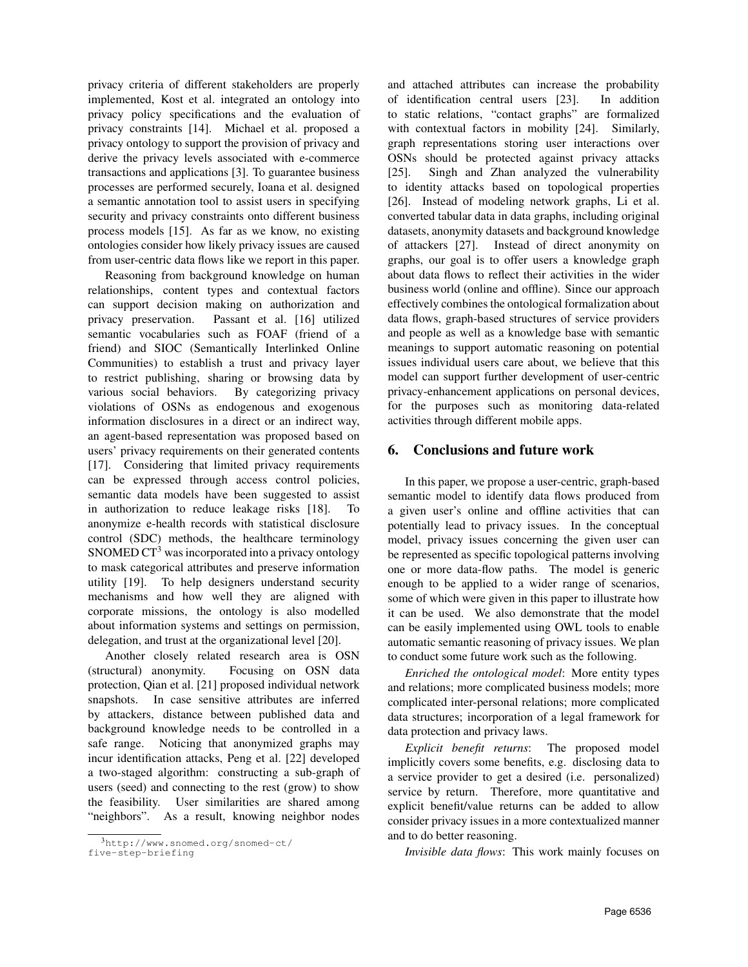privacy criteria of different stakeholders are properly implemented, Kost et al. integrated an ontology into privacy policy specifications and the evaluation of privacy constraints [\[14\]](#page-9-11). Michael et al. proposed a privacy ontology to support the provision of privacy and derive the privacy levels associated with e-commerce transactions and applications [\[3\]](#page-9-2). To guarantee business processes are performed securely, Ioana et al. designed a semantic annotation tool to assist users in specifying security and privacy constraints onto different business process models [\[15\]](#page-9-12). As far as we know, no existing ontologies consider how likely privacy issues are caused from user-centric data flows like we report in this paper.

Reasoning from background knowledge on human relationships, content types and contextual factors can support decision making on authorization and privacy preservation. Passant et al. [\[16\]](#page-9-13) utilized semantic vocabularies such as FOAF (friend of a friend) and SIOC (Semantically Interlinked Online Communities) to establish a trust and privacy layer to restrict publishing, sharing or browsing data by various social behaviors. By categorizing privacy violations of OSNs as endogenous and exogenous information disclosures in a direct or an indirect way, an agent-based representation was proposed based on users' privacy requirements on their generated contents [\[17\]](#page-9-14). Considering that limited privacy requirements can be expressed through access control policies, semantic data models have been suggested to assist in authorization to reduce leakage risks [\[18\]](#page-9-15). To anonymize e-health records with statistical disclosure control (SDC) methods, the healthcare terminology SNOMED  $CT<sup>3</sup>$  $CT<sup>3</sup>$  $CT<sup>3</sup>$  was incorporated into a privacy ontology to mask categorical attributes and preserve information utility [\[19\]](#page-9-16). To help designers understand security mechanisms and how well they are aligned with corporate missions, the ontology is also modelled about information systems and settings on permission, delegation, and trust at the organizational level [\[20\]](#page-9-17).

Another closely related research area is OSN (structural) anonymity. Focusing on OSN data protection, Qian et al. [\[21\]](#page-9-18) proposed individual network snapshots. In case sensitive attributes are inferred by attackers, distance between published data and background knowledge needs to be controlled in a safe range. Noticing that anonymized graphs may incur identification attacks, Peng et al. [\[22\]](#page-9-19) developed a two-staged algorithm: constructing a sub-graph of users (seed) and connecting to the rest (grow) to show the feasibility. User similarities are shared among "neighbors". As a result, knowing neighbor nodes

and attached attributes can increase the probability of identification central users [\[23\]](#page-9-20). In addition to static relations, "contact graphs" are formalized with contextual factors in mobility [\[24\]](#page-9-21). Similarly, graph representations storing user interactions over OSNs should be protected against privacy attacks [\[25\]](#page-9-22). Singh and Zhan analyzed the vulnerability to identity attacks based on topological properties [\[26\]](#page-9-23). Instead of modeling network graphs, Li et al. converted tabular data in data graphs, including original datasets, anonymity datasets and background knowledge of attackers [\[27\]](#page-9-24). Instead of direct anonymity on graphs, our goal is to offer users a knowledge graph about data flows to reflect their activities in the wider business world (online and offline). Since our approach effectively combines the ontological formalization about data flows, graph-based structures of service providers and people as well as a knowledge base with semantic meanings to support automatic reasoning on potential issues individual users care about, we believe that this model can support further development of user-centric privacy-enhancement applications on personal devices, for the purposes such as monitoring data-related activities through different mobile apps.

# <span id="page-8-0"></span>6. Conclusions and future work

In this paper, we propose a user-centric, graph-based semantic model to identify data flows produced from a given user's online and offline activities that can potentially lead to privacy issues. In the conceptual model, privacy issues concerning the given user can be represented as specific topological patterns involving one or more data-flow paths. The model is generic enough to be applied to a wider range of scenarios, some of which were given in this paper to illustrate how it can be used. We also demonstrate that the model can be easily implemented using OWL tools to enable automatic semantic reasoning of privacy issues. We plan to conduct some future work such as the following.

*Enriched the ontological model*: More entity types and relations; more complicated business models; more complicated inter-personal relations; more complicated data structures; incorporation of a legal framework for data protection and privacy laws.

*Explicit benefit returns*: The proposed model implicitly covers some benefits, e.g. disclosing data to a service provider to get a desired (i.e. personalized) service by return. Therefore, more quantitative and explicit benefit/value returns can be added to allow consider privacy issues in a more contextualized manner and to do better reasoning.

*Invisible data flows*: This work mainly focuses on

<span id="page-8-1"></span><sup>3</sup>[http://www.snomed.org/snomed-ct/](http://www.snomed.org/snomed-ct/five-step-briefing) [five-step-briefing](http://www.snomed.org/snomed-ct/five-step-briefing)